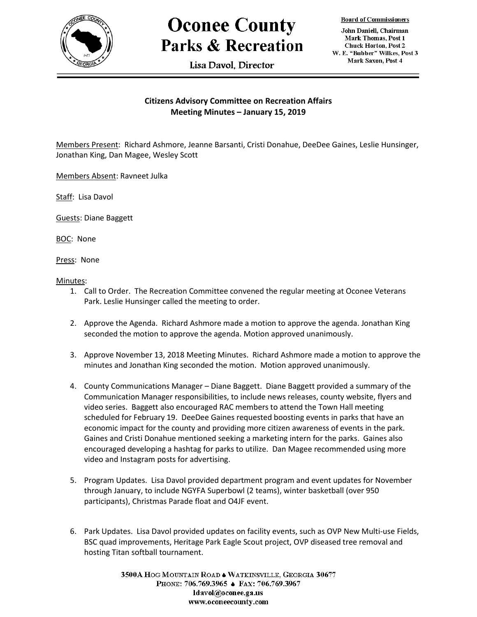

## **Oconee County Parks & Recreation**

Lisa Davol. Director

**Board of Commissioners** 

John Daniell, Chairman Mark Thomas, Post 1 **Chuck Horton, Post 2** W. E. "Bubber" Wilkes, Post 3 Mark Saxon, Post 4

## **Citizens Advisory Committee on Recreation Affairs Meeting Minutes – January 15, 2019**

Members Present: Richard Ashmore, Jeanne Barsanti, Cristi Donahue, DeeDee Gaines, Leslie Hunsinger, Jonathan King, Dan Magee, Wesley Scott

Members Absent: Ravneet Julka

Staff: Lisa Davol

Guests: Diane Baggett

BOC: None

Press: None

Minutes:

- 1. Call to Order. The Recreation Committee convened the regular meeting at Oconee Veterans Park. Leslie Hunsinger called the meeting to order.
- 2. Approve the Agenda. Richard Ashmore made a motion to approve the agenda. Jonathan King seconded the motion to approve the agenda. Motion approved unanimously.
- 3. Approve November 13, 2018 Meeting Minutes. Richard Ashmore made a motion to approve the minutes and Jonathan King seconded the motion. Motion approved unanimously.
- 4. County Communications Manager Diane Baggett. Diane Baggett provided a summary of the Communication Manager responsibilities, to include news releases, county website, flyers and video series. Baggett also encouraged RAC members to attend the Town Hall meeting scheduled for February 19. DeeDee Gaines requested boosting events in parks that have an economic impact for the county and providing more citizen awareness of events in the park. Gaines and Cristi Donahue mentioned seeking a marketing intern for the parks. Gaines also encouraged developing a hashtag for parks to utilize. Dan Magee recommended using more video and Instagram posts for advertising.
- 5. Program Updates. Lisa Davol provided department program and event updates for November through January, to include NGYFA Superbowl (2 teams), winter basketball (over 950 participants), Christmas Parade float and O4JF event.
- 6. Park Updates. Lisa Davol provided updates on facility events, such as OVP New Multi-use Fields, BSC quad improvements, Heritage Park Eagle Scout project, OVP diseased tree removal and hosting Titan softball tournament.

3500A HOG MOUNTAIN ROAD . WATKINSVILLE, GEORGIA 30677 PHONE: 706.769.3965 ♦ FAX: 706.769.3967 ldavol@oconee.ga.us www.oconeecounty.com